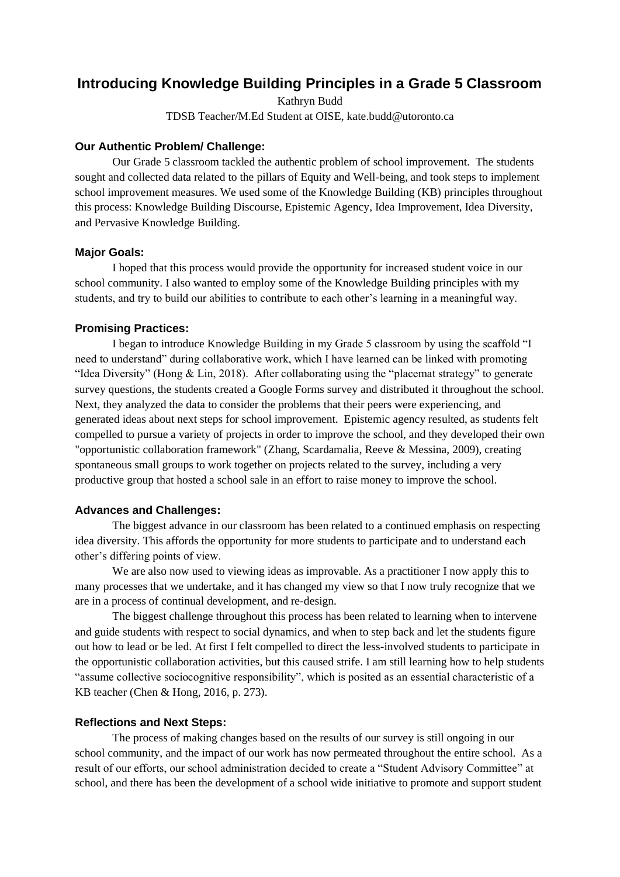# **Introducing Knowledge Building Principles in a Grade 5 Classroom**

Kathryn Budd

TDSB Teacher/M.Ed Student at OISE, kate.budd@utoronto.ca

## **Our Authentic Problem/ Challenge:**

Our Grade 5 classroom tackled the authentic problem of school improvement. The students sought and collected data related to the pillars of Equity and Well-being, and took steps to implement school improvement measures. We used some of the Knowledge Building (KB) principles throughout this process: Knowledge Building Discourse, Epistemic Agency, Idea Improvement, Idea Diversity, and Pervasive Knowledge Building.

## **Major Goals:**

I hoped that this process would provide the opportunity for increased student voice in our school community. I also wanted to employ some of the Knowledge Building principles with my students, and try to build our abilities to contribute to each other's learning in a meaningful way.

### **Promising Practices:**

I began to introduce Knowledge Building in my Grade 5 classroom by using the scaffold "I need to understand" during collaborative work, which I have learned can be linked with promoting "Idea Diversity" (Hong & Lin, 2018). After collaborating using the "placemat strategy" to generate survey questions, the students created a Google Forms survey and distributed it throughout the school. Next, they analyzed the data to consider the problems that their peers were experiencing, and generated ideas about next steps for school improvement. Epistemic agency resulted, as students felt compelled to pursue a variety of projects in order to improve the school, and they developed their own "opportunistic collaboration framework" (Zhang, Scardamalia, Reeve & Messina, 2009), creating spontaneous small groups to work together on projects related to the survey, including a very productive group that hosted a school sale in an effort to raise money to improve the school.

#### **Advances and Challenges:**

The biggest advance in our classroom has been related to a continued emphasis on respecting idea diversity. This affords the opportunity for more students to participate and to understand each other's differing points of view.

We are also now used to viewing ideas as improvable. As a practitioner I now apply this to many processes that we undertake, and it has changed my view so that I now truly recognize that we are in a process of continual development, and re-design.

The biggest challenge throughout this process has been related to learning when to intervene and guide students with respect to social dynamics, and when to step back and let the students figure out how to lead or be led. At first I felt compelled to direct the less-involved students to participate in the opportunistic collaboration activities, but this caused strife. I am still learning how to help students "assume collective sociocognitive responsibility", which is posited as an essential characteristic of a KB teacher (Chen & Hong, 2016, p. 273).

#### **Reflections and Next Steps:**

The process of making changes based on the results of our survey is still ongoing in our school community, and the impact of our work has now permeated throughout the entire school. As a result of our efforts, our school administration decided to create a "Student Advisory Committee" at school, and there has been the development of a school wide initiative to promote and support student